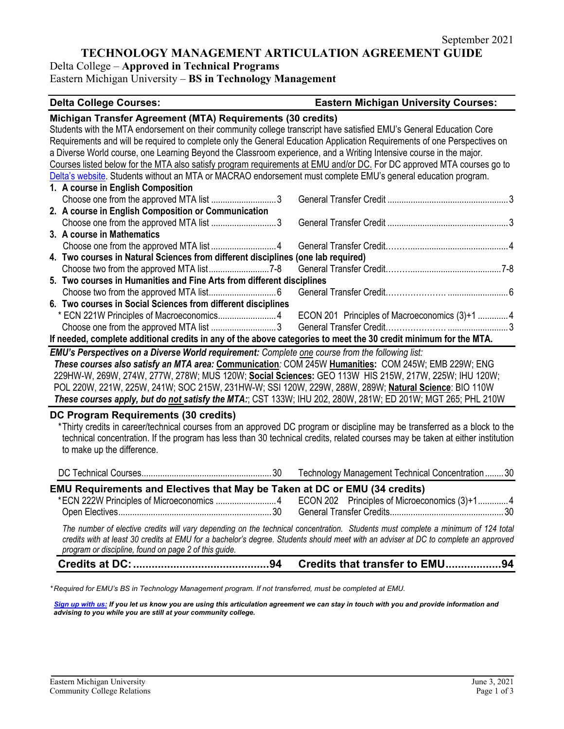## **TECHNOLOGY MANAGEMENT ARTICULATION AGREEMENT GUIDE**

Delta College – **Approved in Technical Programs** Eastern Michigan University – **BS in Technology Management**

# **Delta College Courses: Eastern Michigan University Courses: Michigan Transfer Agreement (MTA) Requirements (30 credits)** Students with the MTA endorsement on their community college transcript have satisfied EMU's General Education Core Requirements and will be required to complete only the General Education Application Requirements of one Perspectives on a Diverse World course, one Learning Beyond the Classroom experience, and a Writing Intensive course in the major.

|                                                                                                                  | Courses listed below for the MTA also satisfy program requirements at EMU and/or DC. For DC approved MTA courses go to |  |  |  |  |  |  |
|------------------------------------------------------------------------------------------------------------------|------------------------------------------------------------------------------------------------------------------------|--|--|--|--|--|--|
|                                                                                                                  | Delta's website. Students without an MTA or MACRAO endorsement must complete EMU's general education program.          |  |  |  |  |  |  |
|                                                                                                                  | 1. A course in English Composition                                                                                     |  |  |  |  |  |  |
|                                                                                                                  |                                                                                                                        |  |  |  |  |  |  |
|                                                                                                                  | 2. A course in English Composition or Communication                                                                    |  |  |  |  |  |  |
|                                                                                                                  |                                                                                                                        |  |  |  |  |  |  |
|                                                                                                                  | 3. A course in Mathematics                                                                                             |  |  |  |  |  |  |
|                                                                                                                  |                                                                                                                        |  |  |  |  |  |  |
| 4. Two courses in Natural Sciences from different disciplines (one lab required)                                 |                                                                                                                        |  |  |  |  |  |  |
|                                                                                                                  |                                                                                                                        |  |  |  |  |  |  |
|                                                                                                                  | 5. Two courses in Humanities and Fine Arts from different disciplines                                                  |  |  |  |  |  |  |
|                                                                                                                  |                                                                                                                        |  |  |  |  |  |  |
|                                                                                                                  | 6. Two courses in Social Sciences from different disciplines                                                           |  |  |  |  |  |  |
|                                                                                                                  | * ECN 221W Principles of Macroeconomics4 ECON 201 Principles of Macroeconomics (3)+1 4                                 |  |  |  |  |  |  |
|                                                                                                                  |                                                                                                                        |  |  |  |  |  |  |
| If needed, complete additional credits in any of the above categories to meet the 30 credit minimum for the MTA. |                                                                                                                        |  |  |  |  |  |  |

*EMU's Perspectives on a Diverse World requirement: Complete one course from the following list: These courses also satisfy an MTA area:* **Communication***:* COM 245W **Humanities:** COM 245W; EMB 229W; ENG 229HW-W, 269W, 274W, 277W, 278W; MUS 120W; **Social Sciences:** GEO 113W HIS 215W, 217W, 225W; IHU 120W; POL 220W, 221W, 225W, 241W; SOC 215W, 231HW-W; SSI 120W, 229W, 288W, 289W; **Natural Science**: BIO 110W *These courses apply, but do not satisfy the MTA:*; CST 133W; IHU 202, 280W, 281W; ED 201W; MGT 265; PHL 210W

#### **DC Program Requirements (30 credits)**

\*Thirty credits in career/technical courses from an approved DC program or discipline may be transferred as a block to the technical concentration. If the program has less than 30 technical credits, related courses may be taken at either institution to make up the difference.

|                                                                                                                                                                                                                                                                                                                                  |  | Credits that transfer to EMU94                                                        |  |  |  |  |
|----------------------------------------------------------------------------------------------------------------------------------------------------------------------------------------------------------------------------------------------------------------------------------------------------------------------------------|--|---------------------------------------------------------------------------------------|--|--|--|--|
| The number of elective credits will vary depending on the technical concentration. Students must complete a minimum of 124 total<br>credits with at least 30 credits at EMU for a bachelor's degree. Students should meet with an adviser at DC to complete an approved<br>program or discipline, found on page 2 of this guide. |  |                                                                                       |  |  |  |  |
|                                                                                                                                                                                                                                                                                                                                  |  |                                                                                       |  |  |  |  |
| EMU Requirements and Electives that May be Taken at DC or EMU (34 credits)                                                                                                                                                                                                                                                       |  | *ECN 222W Principles of Microeconomics 4 ECON 202 Principles of Microeconomics (3)+14 |  |  |  |  |
|                                                                                                                                                                                                                                                                                                                                  |  |                                                                                       |  |  |  |  |
|                                                                                                                                                                                                                                                                                                                                  |  | Technology Management Technical Concentration30                                       |  |  |  |  |

*\* Required for EMU's BS in Technology Management program. If not transferred, must be completed at EMU.* 

*[Sign up with us:](https://www.emich.edu/ccr/articulation-agreements/signup.php) If you let us know you are using this articulation agreement we can stay in touch with you and provide information and advising to you while you are still at your community college.*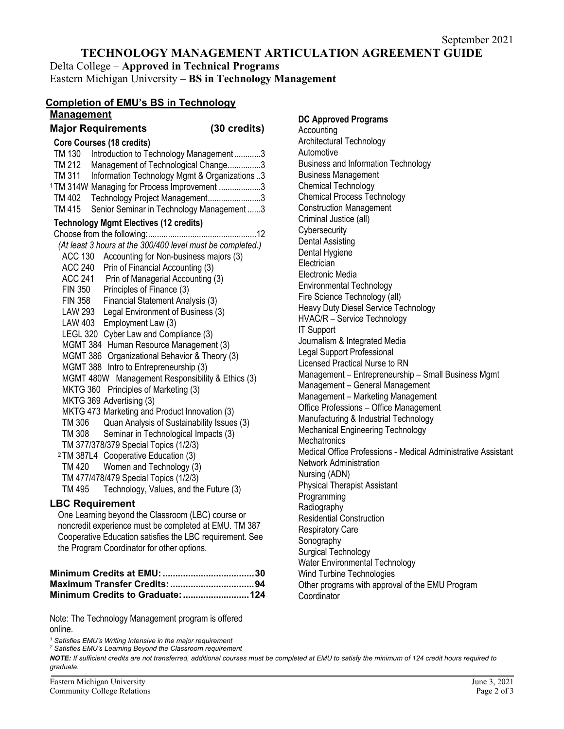## **TECHNOLOGY MANAGEMENT ARTICULATION AGREEMENT GUIDE**

**DC Approved Programs**

Architectural Technology

Business Management Chemical Technology

Chemical Process Technology Construction Management Criminal Justice (all) **Cybersecurity** Dental Assisting Dental Hygiene **Electrician** Electronic Media

Environmental Technology Fire Science Technology (all)

Journalism & Integrated Media Legal Support Professional Licensed Practical Nurse to RN

Heavy Duty Diesel Service Technology HVAC/R – Service Technology

Management – General Management Management – Marketing Management Office Professions – Office Management Manufacturing & Industrial Technology Mechanical Engineering Technology

Management – Entrepreneurship – Small Business Mgmt

Medical Office Professions - Medical Administrative Assistant

Business and Information Technology

**Accounting** 

Automotive

IT Support

**Mechatronics** 

Nursing (ADN)

**Programming Radiography** 

**Coordinator** 

Network Administration

Physical Therapist Assistant

Water Environmental Technology Wind Turbine Technologies

Residential Construction Respiratory Care Sonography Surgical Technology

Delta College – **Approved in Technical Programs** Eastern Michigan University – **BS in Technology Management**

### **Completion of EMU's BS in Technology Management**

# **Major Requirements (30 credits)**

| <b>Core Courses (18 credits)</b>                           |  |  |  |  |  |  |  |  |
|------------------------------------------------------------|--|--|--|--|--|--|--|--|
| TM 130<br>Introduction to Technology Management3           |  |  |  |  |  |  |  |  |
| TM 212<br>Management of Technological Change3              |  |  |  |  |  |  |  |  |
| Information Technology Mgmt & Organizations 3<br>TM 311    |  |  |  |  |  |  |  |  |
| <sup>1</sup> TM 314W Managing for Process Improvement 3    |  |  |  |  |  |  |  |  |
| Technology Project Management3<br>TM 402                   |  |  |  |  |  |  |  |  |
| Senior Seminar in Technology Management 3<br>TM 415        |  |  |  |  |  |  |  |  |
| <b>Technology Mgmt Electives (12 credits)</b>              |  |  |  |  |  |  |  |  |
|                                                            |  |  |  |  |  |  |  |  |
| (At least 3 hours at the 300/400 level must be completed.) |  |  |  |  |  |  |  |  |
| <b>ACC 130</b><br>Accounting for Non-business majors (3)   |  |  |  |  |  |  |  |  |
| <b>ACC 240</b><br>Prin of Financial Accounting (3)         |  |  |  |  |  |  |  |  |
| ACC 241 Prin of Managerial Accounting (3)                  |  |  |  |  |  |  |  |  |
| <b>FIN 350</b><br>Principles of Finance (3)                |  |  |  |  |  |  |  |  |
| <b>FIN 358</b><br>Financial Statement Analysis (3)         |  |  |  |  |  |  |  |  |
| Legal Environment of Business (3)<br>LAW 293               |  |  |  |  |  |  |  |  |
| LAW 403<br>Employment Law (3)                              |  |  |  |  |  |  |  |  |
| LEGL 320 Cyber Law and Compliance (3)                      |  |  |  |  |  |  |  |  |
| MGMT 384 Human Resource Management (3)                     |  |  |  |  |  |  |  |  |
| MGMT 386 Organizational Behavior & Theory (3)              |  |  |  |  |  |  |  |  |
| MGMT 388 Intro to Entrepreneurship (3)                     |  |  |  |  |  |  |  |  |
| MGMT 480W Management Responsibility & Ethics (3)           |  |  |  |  |  |  |  |  |
| MKTG 360 Principles of Marketing (3)                       |  |  |  |  |  |  |  |  |
| MKTG 369 Advertising (3)                                   |  |  |  |  |  |  |  |  |
| MKTG 473 Marketing and Product Innovation (3)              |  |  |  |  |  |  |  |  |
| Quan Analysis of Sustainability Issues (3)<br>TM 306       |  |  |  |  |  |  |  |  |
| TM 308<br>Seminar in Technological Impacts (3)             |  |  |  |  |  |  |  |  |
| TM 377/378/379 Special Topics (1/2/3)                      |  |  |  |  |  |  |  |  |
| <sup>2</sup> TM 387L4 Cooperative Education (3)            |  |  |  |  |  |  |  |  |
| TM 420 Women and Technology (3)                            |  |  |  |  |  |  |  |  |
| TM 477/478/479 Special Topics (1/2/3)                      |  |  |  |  |  |  |  |  |
| TM 495<br>Technology, Values, and the Future (3)           |  |  |  |  |  |  |  |  |
| <b>LBC Requirement</b>                                     |  |  |  |  |  |  |  |  |

One Learning beyond the Classroom (LBC) course or noncredit experience must be completed at EMU. TM 387 Cooperative Education satisfies the LBC requirement. See the Program Coordinator for other options.

| Minimum Credits to Graduate:  124 |  |
|-----------------------------------|--|

Note: The Technology Management program is offered online.

*<sup>1</sup> Satisfies EMU's Writing Intensive in the major requirement*

*<sup>2</sup> Satisfies EMU's Learning Beyond the Classroom requirement*

*NOTE: If sufficient credits are not transferred, additional courses must be completed at EMU to satisfy the minimum of 124 credit hours required to graduate.*

Other programs with approval of the EMU Program